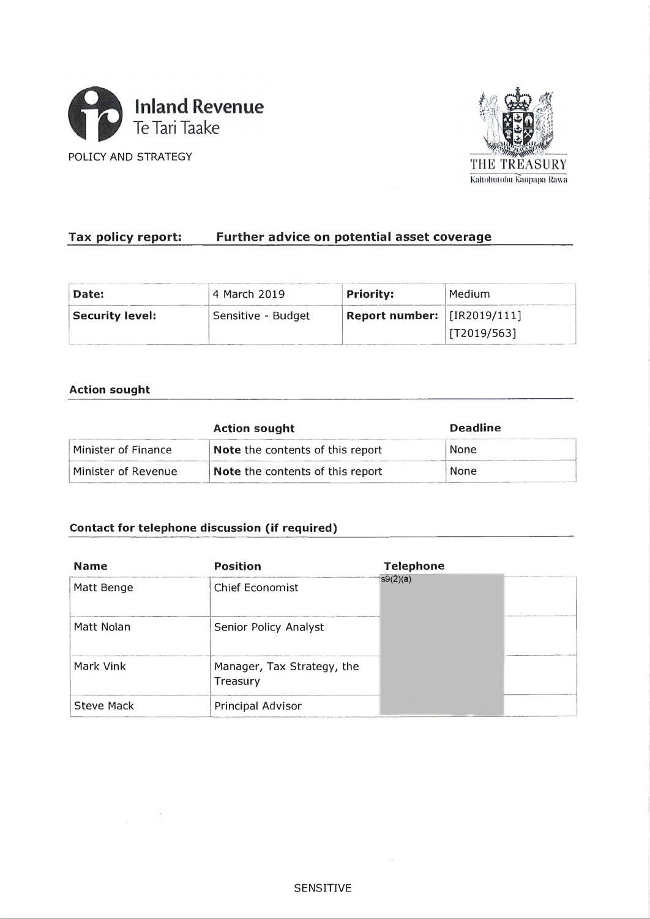





# Tax policy report: Further advice on potential asset coverage

| Date:                  | 4 March 2019       | <b>Priority:</b>                                               | Medium      |
|------------------------|--------------------|----------------------------------------------------------------|-------------|
| <b>Security level:</b> | Sensitive - Budget | Report number: $\left  \frac{[R2019/111]}{[R2019/111]}\right $ |             |
|                        |                    |                                                                | [T2019/563] |

## **Action sought**

|                     | <b>Action sought</b>             | <b>Deadline</b> |  |
|---------------------|----------------------------------|-----------------|--|
| Minister of Finance | Note the contents of this report | None            |  |
| Minister of Revenue | Note the contents of this report | None            |  |

## **Contact for telephone discussion (if required)**

 $\sim$  10  $\mu$ 

| <b>Name</b>       | <b>Position</b>                        | <b>Telephone</b> |
|-------------------|----------------------------------------|------------------|
| Matt Benge        | Chief Economist                        | s9(2)(a)         |
| Matt Nolan        | Senior Policy Analyst                  |                  |
| Mark Vink         | Manager, Tax Strategy, the<br>Treasury |                  |
| <b>Steve Mack</b> | Principal Advisor                      |                  |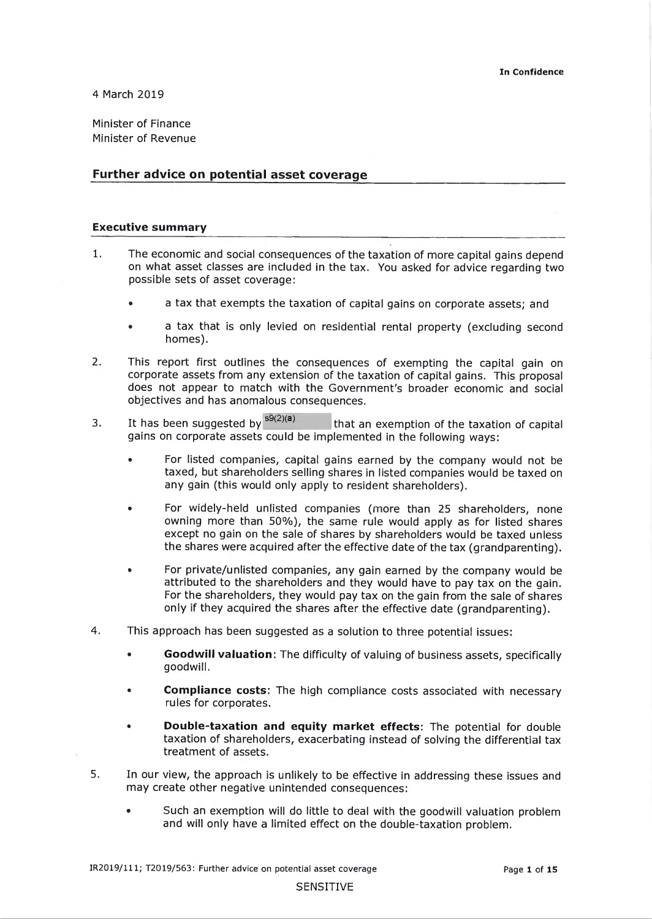4 March 2019

Minister of Finance Minister of Revenue

### Further advice on potential asset coverage

#### **Executive summary**

- 1. The economic and social consequences of the taxation of more capital gains depend on what asset classes are included in the tax. You asked for advice regarding two possible sets of asset coverage:
	- a tax that exempts the taxation of capital gains on corporate assets; and
	- a tax that is only levied on residential rental property (excluding second homes).
- 2. This report first outlines the consequences of exempting the capital gain on corporate assets from any extension of the taxation of capital gains. This proposal does not appear to match with the Government's broader economic and social objectives and has anomalous consequences.
- 3. It has been suggested by  $s^{9(2)(a)}$  that an exemption of the taxation of capital gains on corporate assets could be implemented in the following ways:
	- For listed companies, capital gains earned by the company would not be taxed, but shareholders selling shares in listed companies would be taxed on any gain (this would only apply to resident shareholders).
	- For widely-held unlisted companies (more than 25 shareholders, none owning more than 50%), the same rule would apply as for listed shares except no gain on the sale of shares by shareholders would be taxed unless the shares were acquired after the effective date of the tax (grandparenting).
	- For private/unlisted companies, any gain earned by the company would be attributed to the shareholders and they would have to pay tax on the gain. For the shareholders, they would pay tax on the gain from the sale of shares only if they acquired the shares after the effective date (grandparenting).
- 4. This approach has been suggested as a solution to three potential issues:
	- • **Goodwill valuation**: The difficulty of valuing of business assets, specifically goodwill.
	- • **Compliance costs:** The high compliance costs associated with necessary rules for corporates.
	- **Double-taxation and equity market effects:** The potential for double taxation of shareholders, exacerbating instead of solving the differential tax treatment of assets.
- 5. In our view, the approach is unlikely to be effective in addressing these issues and may create other negative unintended consequences:
	- Such an exemption will do little to deal with the goodwill valuation problem and will only have a limited effect on the double-taxation problem.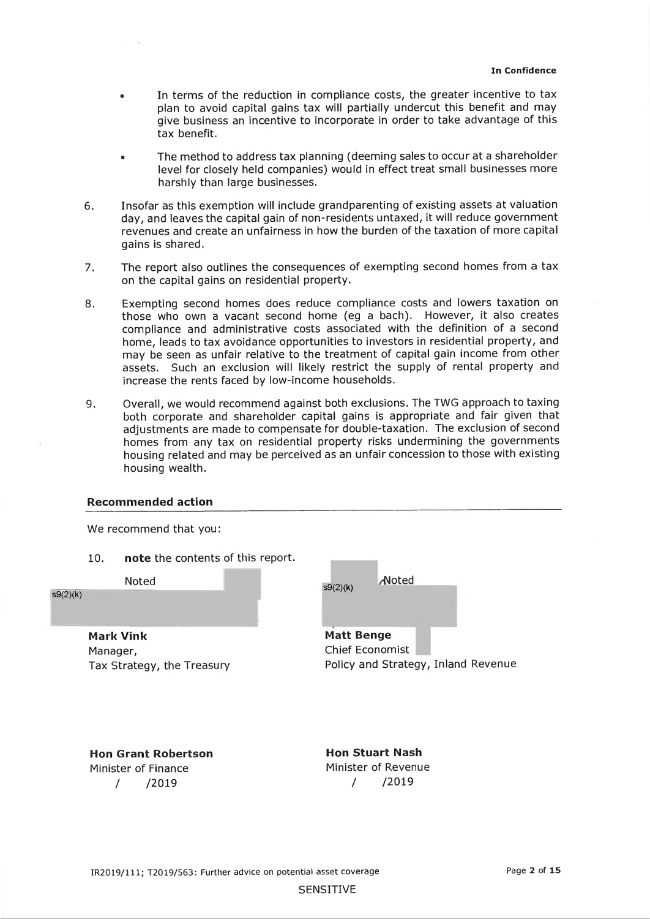- In terms of the reduction in compliance costs, the greater incentive to tax plan to avoid capital gains tax will partially undercut this benefit and may give business an incentive to incorporate in order to take advantage of this tax benefit.
- The method to address tax planning (deeming sales to occur at a shareholder level for closely held companies) would in effect treat small businesses more harshly than large businesses.
- 6. Insofar as this exemption will include grandparenting of existing assets at valuation day, and leaves the capital gain of non-residents untaxed, it will reduce government revenues and create an unfairness in how the burden of the taxation of more capital gains is shared.
- 7. The report also outlines the consequences of exempting second homes from a tax on the capital gains on residential property.
- 8. Exempting second homes does reduce compliance costs and lowers taxation on those who own a vacant second home (eg a bach). However, it also creates compliance and administrative costs associated with the definition of a second home, leads to tax avoidance opportunities to investors in residential property, and may be seen as unfair relative to the treatment of capital gain income from other assets. Such an exclusion will likely restrict the supply of rental property and increase the rents faced by low-income households.
- 9. Overall, we would recommend against both exclusions. The TWG approach to taxing both corporate and shareholder capital gains is appropriate and fair given that adjustments are made to compensate for double-taxation. The exclusion of second homes from any tax on residential property risks undermining the governments housing related and may be perceived as an unfair concession to those with existing housing wealth.

#### **Recommended action**

74

We recommend that you:

10. **note** the contents of this report.

Noted

 $s9(2)(k)$ 

**Mark Vink** Manager, Tax Strategy, the Treasury

| Noted |                                             |
|-------|---------------------------------------------|
|       |                                             |
|       |                                             |
|       | <b>Matt Benge</b><br><b>Chief Economist</b> |

Policy and Strategy, Inland Revenue

**Hon Grant Robertson** Minister of Finance / /2019

**Hon Stuart Nash** Minister of Revenue / /2019

SENSITIVE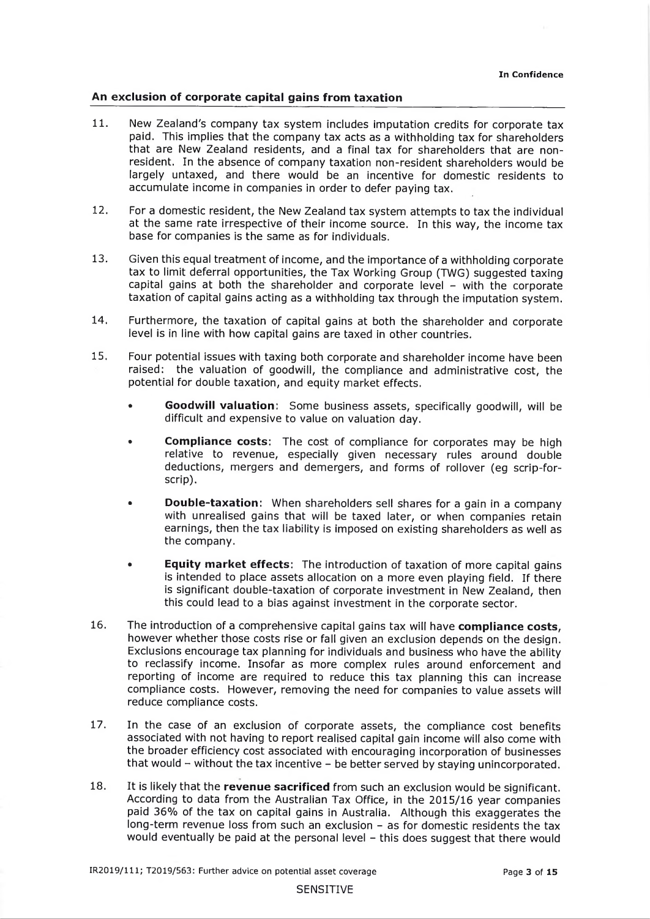### **An exclusion of corporate capital gains from taxation**

- 11. New Zealand's company tax system includes imputation credits for corporate tax paid. This implies that the company tax acts as a withholding tax for shareholders that are New Zealand residents, and a final tax for shareholders that are nonresident. In the absence of company taxation non-resident shareholders would be largely untaxed, and there would be an incentive for domestic residents to accumulate income in companies in order to defer paying tax.
- 12. For a domestic resident, the New Zealand tax system attempts to tax the individual at the same rate irrespective of their income source. In this way, the income tax base for companies is the same as for individuals.
- 13. Given this equal treatment of income, and the importance of a withholding corporate tax to limit deferral opportunities, the Tax Working Group (TWG) suggested taxing capital gains at both the shareholder and corporate level - with the corporate taxation of capital gains acting as a withholding tax through the imputation system.
- 14. Furthermore, the taxation of capital gains at both the shareholder and corporate level is in line with how capital gains are taxed in other countries.
- 15. Four potential issues with taxing both corporate and shareholder income have been raised: the valuation of goodwill, the compliance and administrative cost, the potential for double taxation, and equity market effects.
	- **Goodwill valuation:** Some business assets, specifically goodwill, will be difficult and expensive to value on valuation day.
	- **Compliance costs:** The cost of compliance for corporates may be high relative to revenue, especially given necessary rules around double deductions, mergers and demergers, and forms of rollover (eg scrip-forscrip).
	- **Double-taxation:** When shareholders sell shares for a gain in a company with unrealised gains that will be taxed later, or when companies retain earnings, then the tax liability is imposed on existing shareholders as well as the company.
	- • **Equity market effects:** The introduction of taxation of more capital gains is intended to place assets allocation on a more even playing field. If there is significant double-taxation of corporate investment in New Zealand, then this could lead to a bias against investment in the corporate sector.
- 16. The introduction of a comprehensive capital gains tax will have **compliance costs**, however whether those costs rise or fall given an exclusion depends on the design. Exclusions encourage tax planning for individuals and business who have the ability to reclassify income. Insofar as more complex rules around enforcement and reporting of income are required to reduce this tax planning this can increase compliance costs. However, removing the need for companies to value assets will reduce compliance costs.
- 17. In the case of an exclusion of corporate assets, the compliance cost benefits associated with not having to report realised capital gain income will also come with the broader efficiency cost associated with encouraging incorporation of businesses that would  $-$  without the tax incentive  $-$  be better served by staying unincorporated.
- 18. It is likely that the **revenue sacrificed** from such an exclusion would be significant. According to data from the Australian Tax Office, in the 2015/16 year companies paid 36% of the tax on capital gains in Australia. Although this exaggerates the long-term revenue loss from such an exclusion - as for domestic residents the tax would eventually be paid at the personal level - this does suggest that there would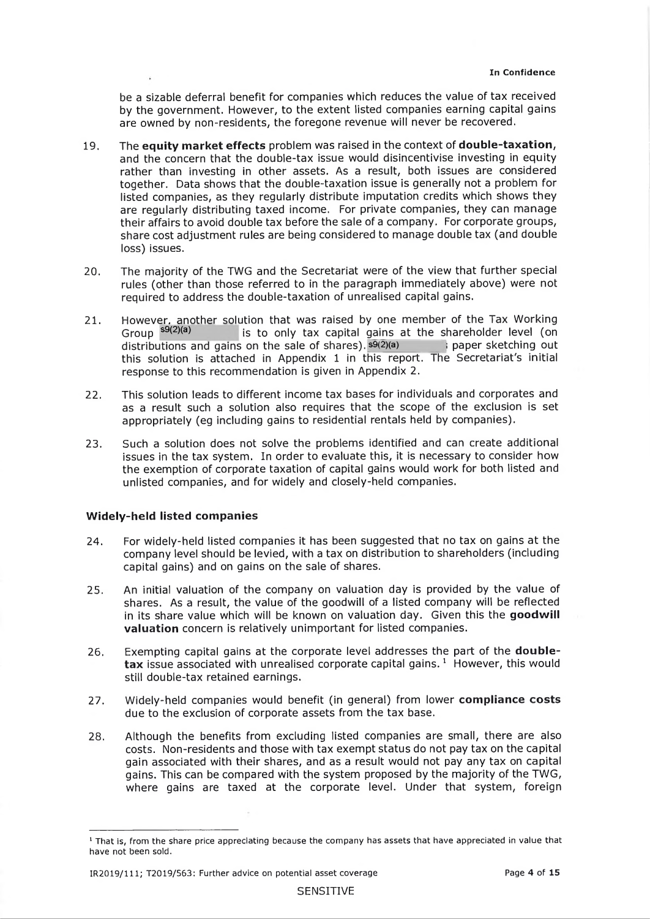be a sizable deferral benefit for companies which reduces the value of tax received by the government. However, to the extent listed companies earning capital gains are owned by non-residents, the foregone revenue will never be recovered.

- 19. The **equity market effects** problem was raised in the context of **double-taxation,** and the concern that the double-tax issue would disincentivise investing in equity rather than investing in other assets. As a result, both issues are considered together. Data shows that the double-taxation issue is generally not a problem for listed companies, as they regularly distribute imputation credits which shows they are regularly distributing taxed income. For private companies, they can manage their affairs to avoid double tax before the sale of a company. For corporate groups, share cost adjustment rules are being considered to manage double tax (and double loss) issues.
- 20. The majority of the TWG and the Secretariat were of the view that further special rules (other than those referred to in the paragraph immediately above) were not required to address the double-taxation of unrealised capital gains.
- 21. However, another solution that was raised by one member of the Tax Working Group <sup>s9(2)(a)</sup> is to only tax capital gains at the shareholder level (on distributions and gains on the sale of shares).  $\overline{s9(2)}(a)$  ; paper sketching out this solution is attached in Appendix 1 in this report. The Secretariat's initial response to this recommendation is given in Appendix 2.
- 22. This solution leads to different income tax bases for individuals and corporates and as a result such a solution also requires that the scope of the exclusion is set appropriately (eg including gains to residential rentals held by companies).
- 23. Such a solution does not solve the problems identified and can create additional issues in the tax system. In order to evaluate this, it is necessary to consider how the exemption of corporate taxation of capital gains would work for both listed and unlisted companies, and for widely and closely-held companies.

#### **Widely-held listed companies**

- 24. For widely-held listed companies it has been suggested that no tax on gains at the company level should be levied, with a tax on distribution to shareholders (including capital gains) and on gains on the sale of shares.
- 25. An initial valuation of the company on valuation day is provided by the value of shares. As a result, the value of the goodwill of a listed company will be reflected in its share value which will be known on valuation day. Given this the goodwill **valuation** concern is relatively unimportant for listed companies.
- 26. Exempting capital gains at the corporate level addresses the part of the **double**tax issue associated with unrealised corporate capital gains.<sup>1</sup> However, this would still double-tax retained earnings.
- 27. Widely-held companies would benefit (in general) from lower **compliance costs** due to the exclusion of corporate assets from the tax base.
- 28. Although the benefits from excluding listed companies are small, there are also costs. Non-residents and those with tax exempt status do not pay tax on the capital gain associated with their shares, and as a result would not pay any tax on capital gains. This can be compared with the system proposed by the majority of the TWG, where gains are taxed at the corporate level. Under that system, foreign

<sup>&</sup>lt;sup>1</sup> That is, from the share price appreciating because the company has assets that have appreciated in value that have not been sold.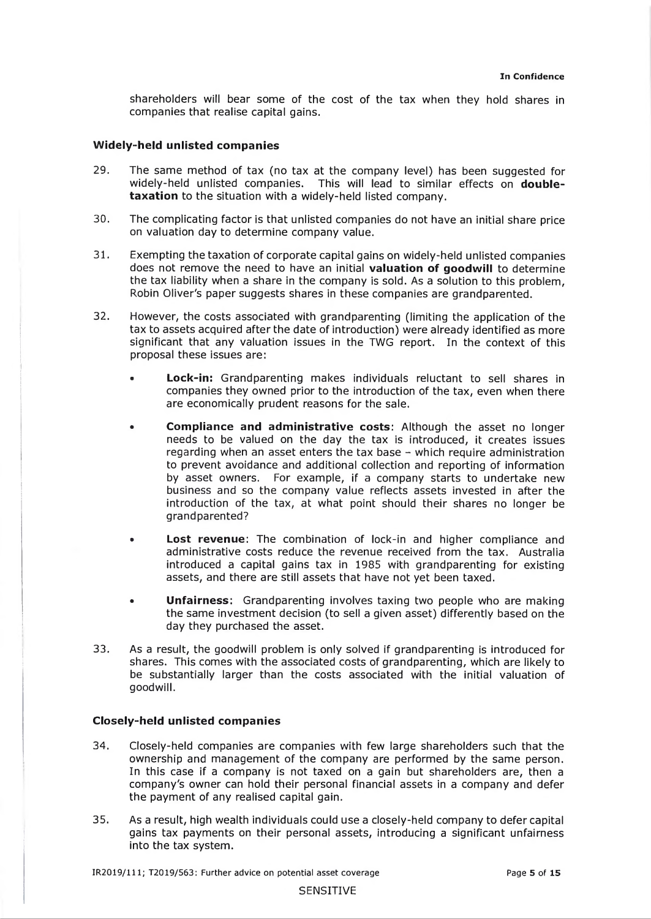shareholders will bear some of the cost of the tax when they hold shares in companies that realise capital gains.

#### **W idely-held unlisted com panies**

- 29. The same method of tax (no tax at the company level) has been suggested for widely-held unlisted companies. This will lead to similar effects on **doubletaxation** to the situation with a widely-held listed company.
- 30. The complicating factor is that unlisted companies do not have an initial share price on valuation day to determine company value.
- 31. Exempting the taxation of corporate capital gains on widely-held unlisted companies does not remove the need to have an initial **valuation of goodwill** to determine the tax liability when a share in the company is sold. As a solution to this problem, Robin Oliver's paper suggests shares in these companies are grandparented.
- 32. However, the costs associated with grandparenting (limiting the application of the tax to assets acquired after the date of introduction) were already identified as more significant that any valuation issues in the TWG report. In the context of this proposal these issues are:
	- **Lock-in:** Grandparenting makes individuals reluctant to sell shares in companies they owned prior to the introduction of the tax, even when there are economically prudent reasons for the sale.
	- Compliance and administrative costs: Although the asset no longer needs to be valued on the day the tax is introduced, it creates issues regarding when an asset enters the tax base - which require administration to prevent avoidance and additional collection and reporting of information by asset owners. For example, if a company starts to undertake new business and so the company value reflects assets invested in after the introduction of the tax, at what point should their shares no longer be grandparented?
	- **Lost revenue:** The combination of lock-in and higher compliance and administrative costs reduce the revenue received from the tax. Australia introduced a capital gains tax in 1985 with grandparenting for existing assets, and there are still assets that have not yet been taxed.
	- **Unfairness:** Grandparenting involves taxing two people who are making the same investment decision (to sell a given asset) differently based on the day they purchased the asset.
- 33. As a result, the goodwill problem is only solved if grandparenting is introduced for shares. This comes with the associated costs of grandparenting, which are likely to be substantially larger than the costs associated with the initial valuation of goodwill.

#### **Closely-held unlisted com panies**

- 34. Closely-held companies are companies with few large shareholders such that the ownership and management of the company are performed by the same person. In this case if a company is not taxed on a gain but shareholders are, then a company's owner can hold their personal financial assets in a company and defer the payment of any realised capital gain.
- 35. As a result, high wealth individuals could use a closely-held company to defer capital gains tax payments on their personal assets, introducing a significant unfairness into the tax system.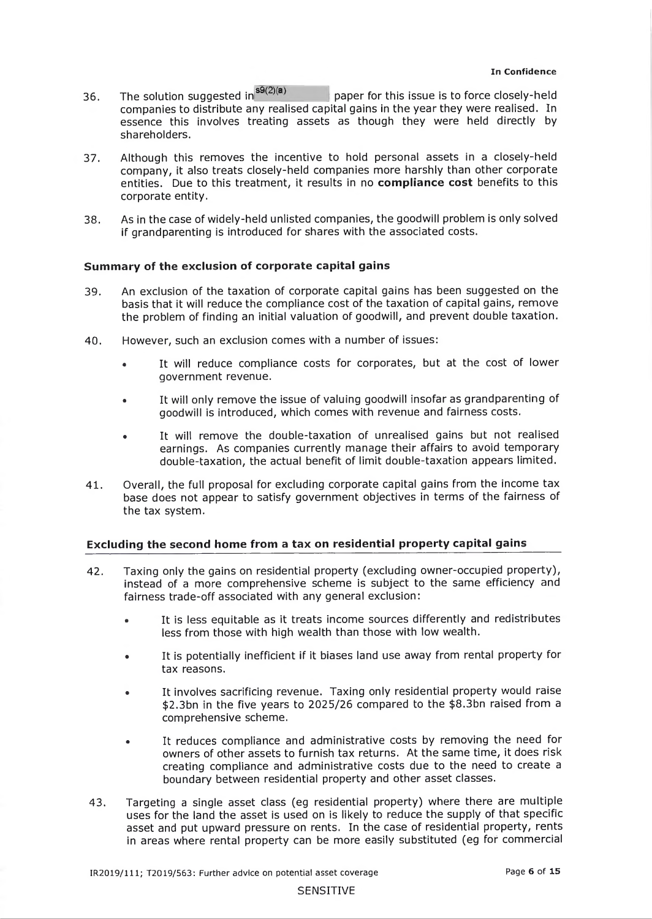- 36. The solution suggested in<sup>s9(2)(a)</sup> paper for this issue is to force closely-held companies to distribute any realised capital gains in the year they were realised. In essence this involves treating assets as though they were held directly by shareholders.
- 37. Although this removes the incentive to hold personal assets in a closely-held company, it also treats closely-held companies more harshly than other corporate entities. Due to this treatment, it results in no **com pliance cost** benefits to this corporate entity.
- 38. As in the case of widely-held unlisted companies, the goodwill problem is only solved if grandparenting is introduced for shares with the associated costs.

#### **Sum mary of the exclusion of corporate capital gains**

- 39. An exclusion of the taxation of corporate capital gains has been suggested on the basis that it will reduce the compliance cost of the taxation of capital gains, remove the problem of finding an initial valuation of goodwill, and prevent double taxation.
- 40. However, such an exclusion comes with a number of issues:
	- It will reduce compliance costs for corporates, but at the cost of lower government revenue.
	- It will only remove the issue of valuing goodwill insofar as grandparenting of goodwill is introduced, which comes with revenue and fairness costs.
	- It will remove the double-taxation of unrealised gains but not realised earnings. As companies currently manage their affairs to avoid temporary double-taxation, the actual benefit of limit double-taxation appears limited.
- 41. Overall, the full proposal for excluding corporate capital gains from the income tax base does not appear to satisfy government objectives in terms of the fairness of the tax system.

## **Excluding the second home from a tax on residential property capital gains**

- 42. Taxing only the gains on residential property (excluding owner-occupied property), instead of a more comprehensive scheme is subject to the same efficiency and fairness trade-off associated with any general exclusion:
	- It is less equitable as it treats income sources differently and redistributes less from those with high wealth than those with low wealth.
	- It is potentially inefficient if it biases land use away from rental property for tax reasons.
	- It involves sacrificing revenue. Taxing only residential property would raise \$2.3bn in the five years to 2025/26 compared to the \$8.3bn raised from a comprehensive scheme.
	- It reduces compliance and administrative costs by removing the need for owners of other assets to furnish tax returns. At the same time, it does risk creating compliance and administrative costs due to the need to create a boundary between residential property and other asset classes.
- 43. Targeting a single asset class (eg residential property) where there are multiple uses for the land the asset is used on is likely to reduce the supply of that specific asset and put upward pressure on rents. In the case of residential property, rents in areas where rental property can be more easily substituted (eg for commercial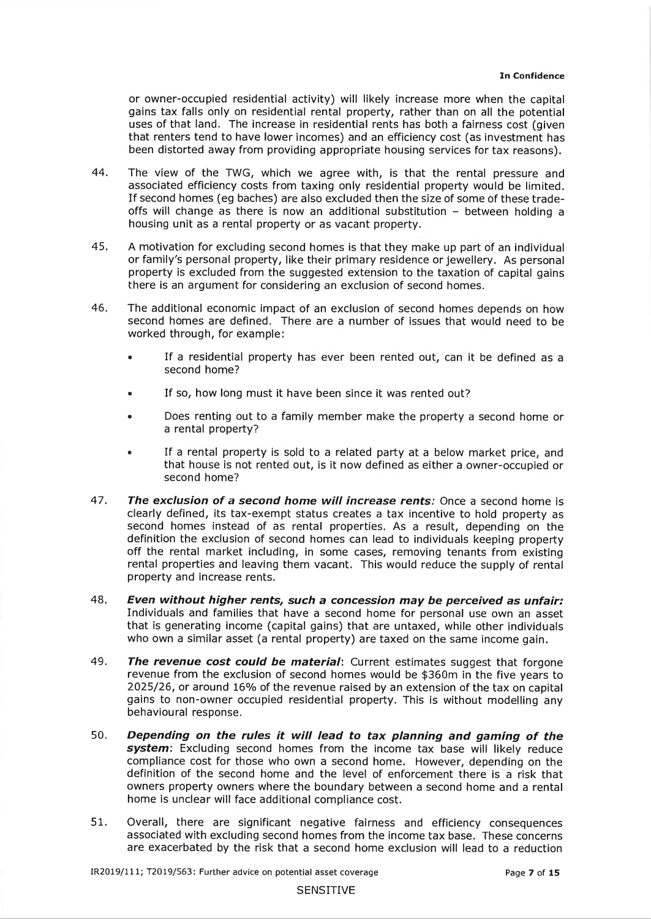or owner-occupied residential activity) will likely increase more when the capital gains tax falls only on residential rental property, rather than on all the potential uses of that land. The increase in residential rents has both a fairness cost (given that renters tend to have lower incomes) and an efficiency cost (as investment has been distorted away from providing appropriate housing services for tax reasons).

- 44. The view of the TWG, which we agree with, is that the rental pressure and associated efficiency costs from taxing only residential property would be limited. If second homes (eg baches) are also excluded then the size of some of these tradeoffs will change as there is now an additional substitution  $-$  between holding a housing unit as a rental property or as vacant property.
- 45. A motivation for excluding second homes is that they make up part of an individual or family's personal property, like their primary residence or jewellery. As personal property is excluded from the suggested extension to the taxation of capital gains there is an argument for considering an exclusion of second homes.
- 46. The additional economic impact of an exclusion of second homes depends on how second homes are defined. There are a number of issues that would need to be worked through, for example:
	- If a residential property has ever been rented out, can it be defined as a second home?
	- If so, how long must it have been since it was rented out?
	- Does renting out to a family member make the property a second home or a rental property?
	- If a rental property is sold to a related party at a below market price, and that house is not rented out, is it now defined as either a owner-occupied or second home?
- 47. **The exclusion of a second home will increase rents:** Once a second home is clearly defined, its tax-exempt status creates a tax incentive to hold property as second homes instead of as rental properties. As a result, depending on the definition the exclusion of second homes can lead to individuals keeping property off the rental market including, in some cases, removing tenants from existing rental properties and leaving them vacant. This would reduce the supply of rental property and increase rents.
- 48. *Even without higher rents, such a concession may be perceived as unfair:* Individuals and families that have a second home for personal use own an asset that is generating income (capital gains) that are untaxed, while other individuals who own a similar asset (a rental property) are taxed on the same income gain.
- 49. **The revenue cost could be material:** Current estimates suggest that forgone revenue from the exclusion of second homes would be \$360m in the five years to 2025/26, or around 16% of the revenue raised by an extension of the tax on capital gains to non-owner occupied residential property. This is without modelling any behavioural response.
- 50. **Depending on the rules it will lead to tax planning and gaming of the** svstem: Excluding second homes from the income tax base will likely reduce compliance cost for those who own a second home. However, depending on the definition of the second home and the level of enforcement there is a risk that owners property owners where the boundary between a second home and a rental home is unclear will face additional compliance cost.
- 51. Overall, there are significant negative fairness and efficiency consequences associated with excluding second homes from the income tax base. These concerns are exacerbated by the risk that a second home exclusion will lead to a reduction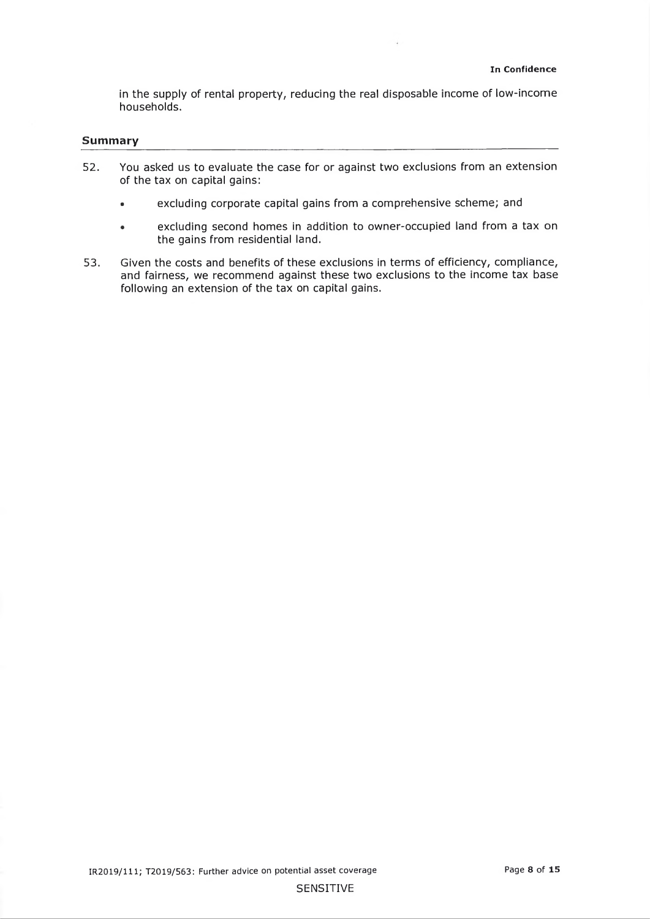in the supply of rental property, reducing the real disposable income of low-income households.

 $\epsilon$ 

#### **Summary**

- 52. You asked us to evaluate the case for or against two exclusions from an extension of the tax on capital gains:
	- excluding corporate capital gains from a comprehensive scheme; and
	- excluding second homes in addition to owner-occupied land from a tax on the gains from residential land.
- 53. Given the costs and benefits of these exclusions in terms of efficiency, compliance, and fairness, we recommend against these two exclusions to the income tax base following an extension of the tax on capital gains.

#### SENSITIVE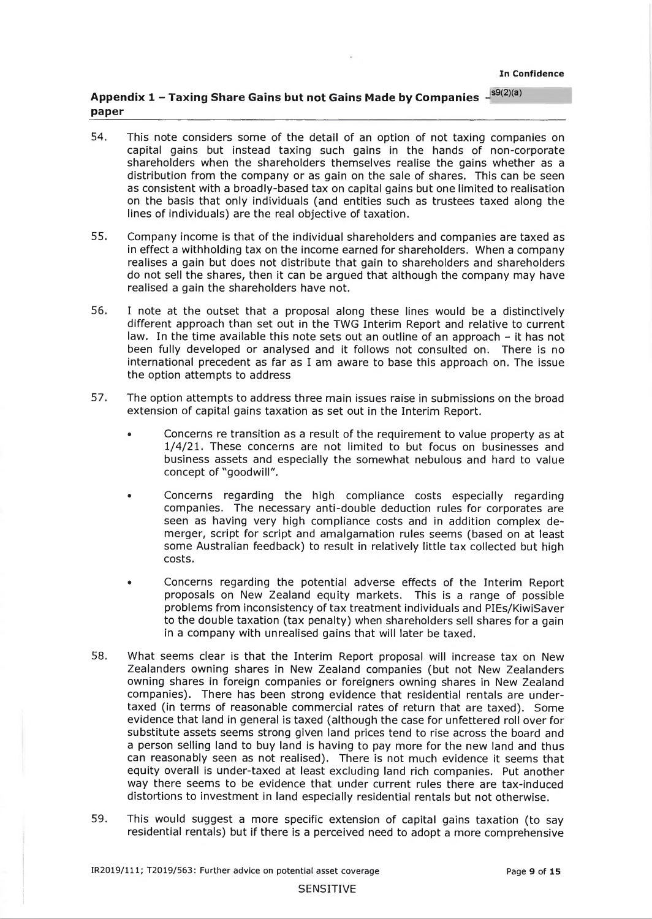**In Confidence**

## **Appendix 1 - Taxing Share Gains but not Gains Made by Companies**  $-$ <sup> $s9(2)(a)$ </sup> **paper**

- 54. This note considers some of the detail of an option of not taxing companies on capital gains but instead taxing such gains in the hands of non-corporate shareholders when the shareholders themselves realise the gains whether as a distribution from the company or as gain on the sale of shares. This can be seen as consistent with a broadly-based tax on capital gains but one limited to realisation on the basis that only individuals (and entities such as trustees taxed along the lines of individuals) are the real objective of taxation.
- 55. Company income is that of the individual shareholders and companies are taxed as in effect a withholding tax on the income earned for shareholders. When a company realises a gain but does not distribute that gain to shareholders and shareholders do not sell the shares, then it can be argued that although the company may have realised a gain the shareholders have not.
- 56. I note at the outset that a proposal along these lines would be a distinctively different approach than set out in the TWG Interim Report and relative to current law. In the time available this note sets out an outline of an approach - it has not been fully developed or analysed and it follows not consulted on. There is no international precedent as far as I am aware to base this approach on. The issue the option attempts to address
- 57. The option attempts to address three main issues raise in submissions on the broad extension of capital gains taxation as set out in the Interim Report.
	- Concerns re transition as a result of the requirement to value property as at 1/4/21. These concerns are not limited to but focus on businesses and business assets and especially the somewhat nebulous and hard to value concept of "goodwill".
	- Concerns regarding the high compliance costs especially regarding companies. The necessary anti-double deduction rules for corporates are seen as having very high compliance costs and in addition complex demerger, script for script and amalgamation rules seems (based on at least some Australian feedback) to result in relatively little tax collected but high costs.
	- Concerns regarding the potential adverse effects of the Interim Report proposals on New Zealand equity markets. This is a range of possible problems from inconsistency of tax treatment individuals and PIEs/KiwiSaver to the double taxation (tax penalty) when shareholders sell shares for a gain in a company with unrealised gains that will later be taxed.
- 58. What seems clear is that the Interim Report proposal will increase tax on New Zealanders owning shares in New Zealand companies (but not New Zealanders owning shares in foreign companies or foreigners owning shares in New Zealand companies). There has been strong evidence that residential rentals are undertaxed (in terms of reasonable commercial rates of return that are taxed). Some evidence that land in general is taxed (although the case for unfettered roll over for substitute assets seems strong given land prices tend to rise across the board and a person selling land to buy land is having to pay more for the new land and thus can reasonably seen as not realised). There is not much evidence it seems that equity overall is under-taxed at least excluding land rich companies. Put another way there seems to be evidence that under current rules there are tax-induced distortions to investment in land especially residential rentals but not otherwise.
- 59. This would suggest a more specific extension of capital gains taxation (to say residential rentals) but if there is a perceived need to adopt a more comprehensive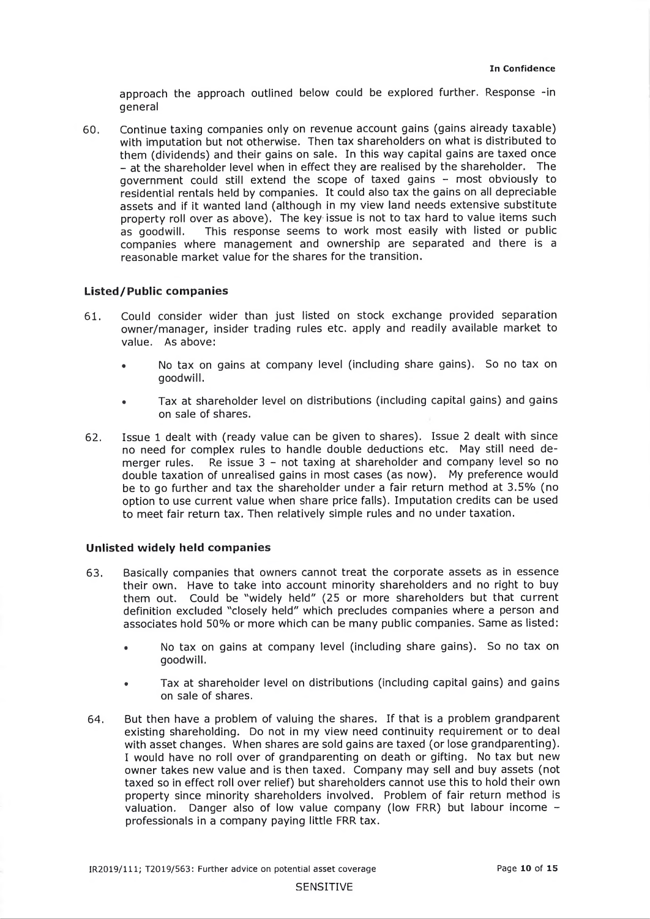approach the approach outlined below could be explored further. Response -in general

60. Continue taxing companies only on revenue account gains (gains already taxable) with imputation but not otherwise. Then tax shareholders on what is distributed to them (dividends) and their gains on sale. In this way capital gains are taxed once - at the shareholder level when in effect they are realised by the shareholder. The government could still extend the scope of taxed gains - most obviously to residential rentals held by companies. It could also tax the gains on all depreciable assets and if it wanted land (although in my view land needs extensive substitute property roll over as above). The key issue is not to tax hard to value items such as goodwill. This response seems to work most easily with listed or public companies where management and ownership are separated and there is a reasonable market value for the shares for the transition.

#### **Listed/Public companies**

- 61. Could consider wider than just listed on stock exchange provided separation owner/manager, insider trading rules etc. apply and readily available market to value. As above:
	- No tax on gains at company level (including share gains). So no tax on goodwill.
	- Tax at shareholder level on distributions (including capital gains) and gains on sale of shares.
- 62. Issue 1 dealt with (ready value can be given to shares). Issue 2 dealt with since no need for complex rules to handle double deductions etc. May still need demerger rules. Re issue  $3 - not$  taxing at shareholder and company level so no double taxation of unrealised gains in most cases (as now). My preference would be to go further and tax the shareholder under a fair return method at 3.5% (no option to use current value when share price falls). Imputation credits can be used to meet fair return tax. Then relatively simple rules and no under taxation.

### **Unlisted widely held companies**

- 63. Basically companies that owners cannot treat the corporate assets as in essence their own. Have to take into account minority shareholders and no right to buy them out. Could be "widely held" (25 or more shareholders but that current definition excluded "closely held" which precludes companies where a person and associates hold 50% or more which can be many public companies. Same as listed:
	- No tax on gains at company level (including share gains). So no tax on goodwill.
	- Tax at shareholder level on distributions (including capital gains) and gains on sale of shares.
- 64. But then have a problem of valuing the shares. If that is a problem grandparent existing shareholding. Do not in my view need continuity requirement or to deal with asset changes. When shares are sold gains are taxed (or lose grandparenting). I would have no roll over of grandparenting on death or gifting. No tax but new owner takes new value and is then taxed. Company may sell and buy assets (not taxed so in effect roll over relief) but shareholders cannot use this to hold their own property since minority shareholders involved. Problem of fair return method is valuation. Danger also of low value company (low FRR) but labour income professionals in a company paying little FRR tax.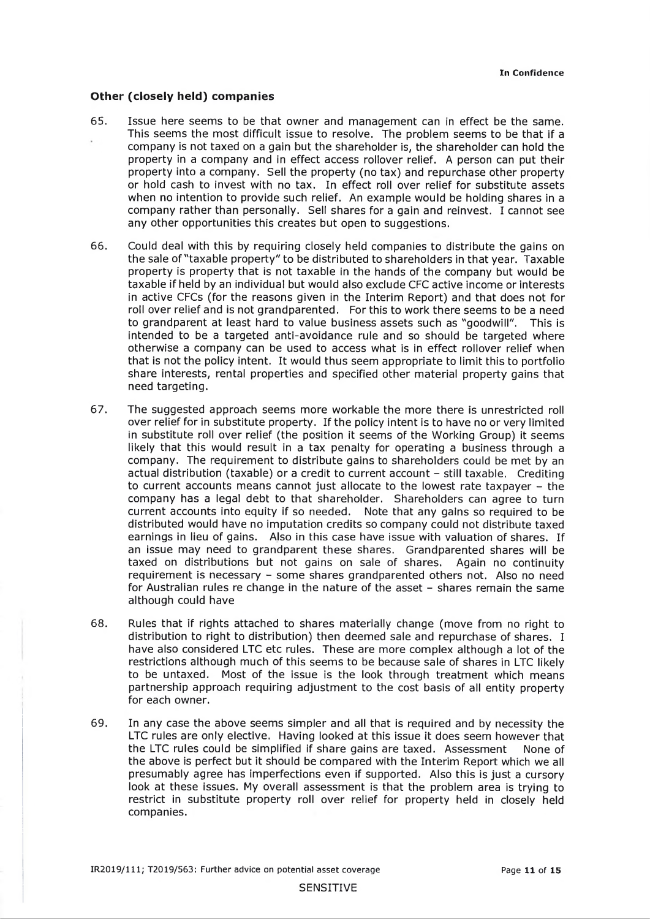#### **Other (closely held) companies**

- 65. Issue here seems to be that owner and management can in effect be the same. This seems the most difficult issue to resolve. The problem seems to be that if a company is not taxed on a gain but the shareholder is, the shareholder can hold the property in a company and in effect access rollover relief. A person can put their property into a company. Sell the property (no tax) and repurchase other property or hold cash to invest with no tax. In effect roll over relief for substitute assets when no intention to provide such relief. An example would be holding shares in a company rather than personally. Sell shares for a gain and reinvest. I cannot see any other opportunities this creates but open to suggestions.
- 66. Could deal with this by requiring closely held companies to distribute the gains on the sale of "taxable property" to be distributed to shareholders in that year. Taxable property is property that is not taxable in the hands of the company but would be taxable if held by an individual but would also exclude CFC active income or interests in active CFCs (for the reasons given in the Interim Report) and that does not for roll over relief and is not grandparented. For this to work there seems to be a need to grandparent at least hard to value business assets such as "goodwill". This is intended to be a targeted anti-avoidance rule and so should be targeted where otherwise a company can be used to access what is in effect rollover relief when that is not the policy intent. It would thus seem appropriate to limit this to portfolio share interests, rental properties and specified other material property gains that need targeting.
- 67. The suggested approach seems more workable the more there is unrestricted roll over relief for in substitute property. If the policy intent is to have no or very limited in substitute roll over relief (the position it seems of the Working Group) it seems likely that this would result in a tax penalty for operating a business through a company. The requirement to distribute gains to shareholders could be met by an actual distribution (taxable) or a credit to current account - still taxable. Crediting to current accounts means cannot just allocate to the lowest rate taxpayer  $-$  the company has a legal debt to that shareholder. Shareholders can agree to turn current accounts into equity if so needed. Note that any gains so required to be distributed would have no imputation credits so company could not distribute taxed earnings in lieu of gains. Also in this case have issue with valuation of shares. If an issue may need to grandparent these shares. Grandparented shares will be taxed on distributions but not gains on sale of shares. Again no continuity requirement is necessary - some shares grandparented others not. Also no need for Australian rules re change in the nature of the asset - shares remain the same although could have
- 68. Rules that if rights attached to shares materially change (move from no right to distribution to right to distribution) then deemed sale and repurchase of shares. I have also considered LTC etc rules. These are more complex although a lot of the restrictions although much of this seems to be because sale of shares in LTC likely to be untaxed. Most of the issue is the look through treatment which means partnership approach requiring adjustment to the cost basis of all entity property for each owner.
- 69. In any case the above seems simpler and all that is required and by necessity the LTC rules are only elective. Having looked at this issue it does seem however that the LTC rules could be simplified if share gains are taxed. Assessment None of the above is perfect but it should be compared with the Interim Report which we all presumably agree has imperfections even if supported. Also this is just a cursory look at these issues. My overall assessment is that the problem area is trying to restrict in substitute property roll over relief for property held in closely held companies.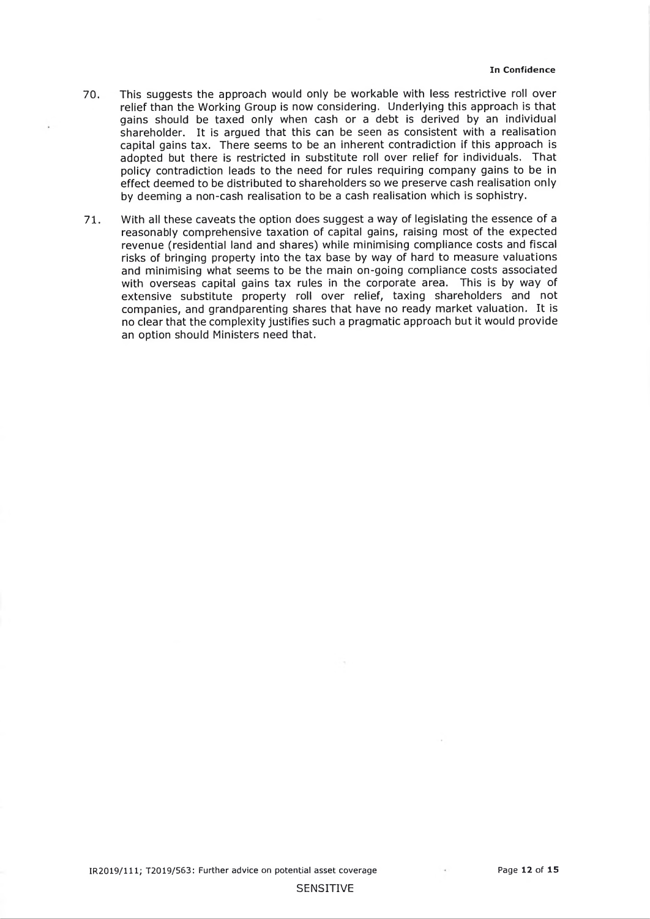- 70. This suggests the approach would only be workable with less restrictive roll over relief than the Working Group is now considering. Underlying this approach is that gains should be taxed only when cash or a debt is derived by an individual shareholder. It is argued that this can be seen as consistent with a realisation capital gains tax. There seems to be an inherent contradiction if this approach is adopted but there is restricted in substitute roll over relief for individuals. That policy contradiction leads to the need for rules requiring company gains to be in effect deemed to be distributed to shareholders so we preserve cash realisation only by deeming a non-cash realisation to be a cash realisation which is sophistry.
- 71. With ail these caveats the option does suggest a way of legislating the essence of a reasonably comprehensive taxation of capital gains, raising most of the expected revenue (residential land and shares) while minimising compliance costs and fiscal risks of bringing property into the tax base by way of hard to measure valuations and minimising what seems to be the main on-going compliance costs associated with overseas capital gains tax rules in the corporate area. This is by way of extensive substitute property roll over relief, taxing shareholders and not companies, and grandparenting shares that have no ready market valuation. It is no clear that the complexity justifies such a pragmatic approach but it would provide an option should Ministers need that.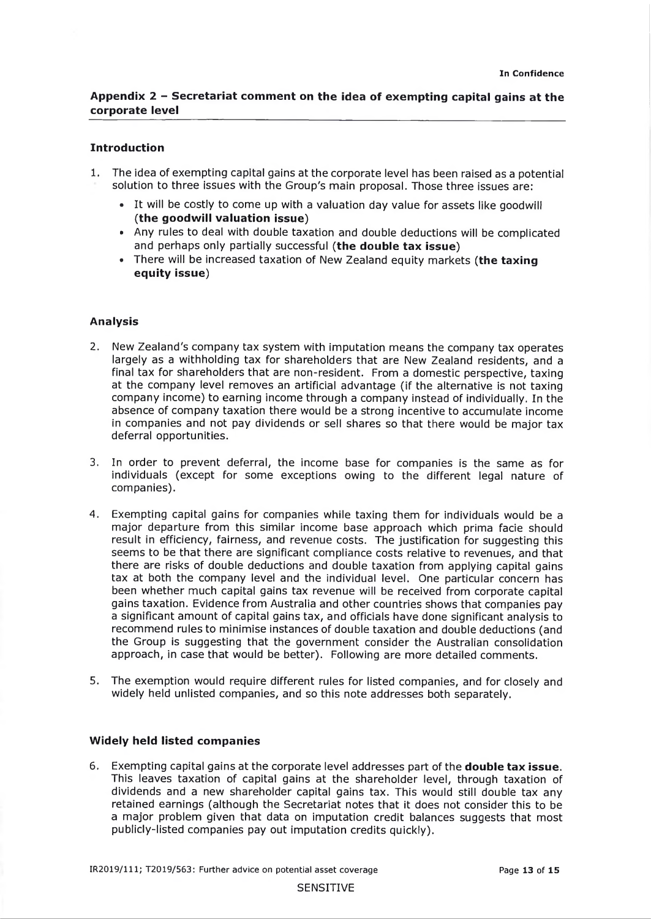## Appendix 2 - Secretariat comment on the idea of exempting capital gains at the **corporate level**

### **Introduction**

- 1. The idea of exempting capital gains at the corporate level has been raised as a potential solution to three issues with the Group's main proposal. Those three issues are:
	- It will be costly to come up with a valuation day value for assets like goodwill (the goodwill valuation issue)
	- Any rules to deal with double taxation and double deductions will be complicated and perhaps only partially successful (the double tax issue)
	- There will be increased taxation of New Zealand equity markets **(the taxing equity issue**)

#### **Analysis**

- 2. New Zealand's company tax system with imputation means the company tax operates largely as a withholding tax for shareholders that are New Zealand residents, and a final tax for shareholders that are non-resident. From a domestic perspective, taxing at the company level removes an artificial advantage (if the alternative is not taxing company income) to earning income through a company instead of individually, In the absence of company taxation there would be a strong incentive to accumulate income in companies and not pay dividends or sell shares so that there would be major tax deferral opportunities.
- 3. In order to prevent deferral, the income base for companies is the same as for individuals (except for some exceptions owing to the different legal nature of companies).
- 4. Exempting capital gains for companies while taxing them for individuals would be a major departure from this similar income base approach which prima facie should result in efficiency, fairness, and revenue costs. The justification for suggesting this seems to be that there are significant compliance costs relative to revenues, and that there are risks of double deductions and double taxation from applying capital gains tax at both the company level and the individual level. One particular concern has been whether much capital gains tax revenue will be received from corporate capital gains taxation. Evidence from Australia and other countries shows that companies pay a significant amount of capital gains tax, and officials have done significant analysis to recommend rules to minimise instances of double taxation and double deductions (and the Group is suggesting that the government consider the Australian consolidation approach, in case that would be better). Following are more detailed comments.
- 5. The exemption would require different rules for listed companies, and for closely and widely held unlisted companies, and so this note addresses both separately.

#### **Widely held listed companies**

6. Exempting capital gains at the corporate level addresses part of the **double tax issu e.** This leaves taxation of capital gains at the shareholder level, through taxation of dividends and a new shareholder capital gains tax. This would still double tax any retained earnings (although the Secretariat notes that it does not consider this to be a major problem given that data on imputation credit balances suggests that most publicly-listed companies pay out imputation credits quickly).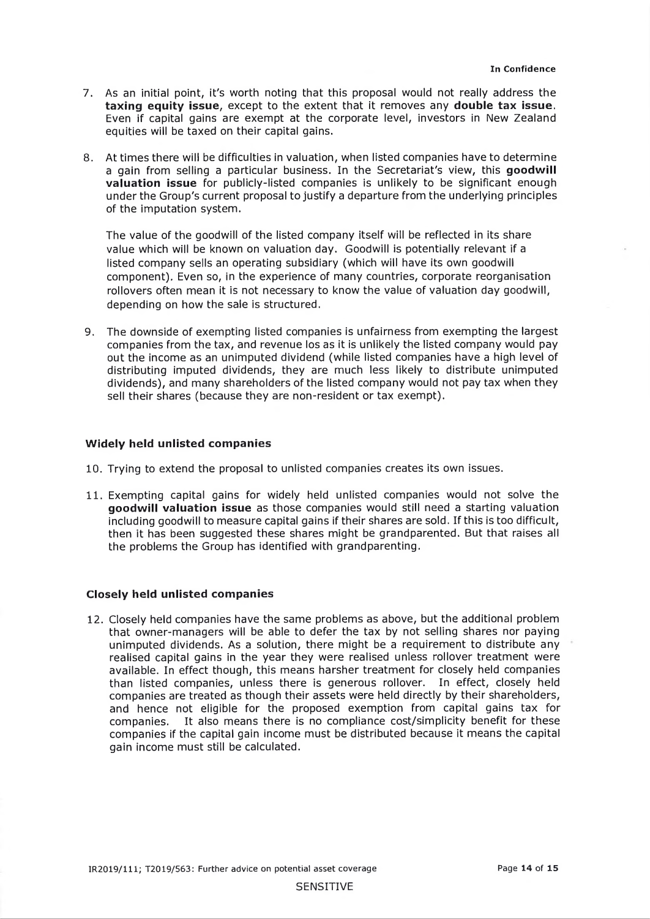- 7. As an initial point, it's worth noting that this proposal would not really address the **taxing equity issue,** except to the extent that it removes any **double tax issue.** Even if capital gains are exempt at the corporate level, investors in New Zealand equities will be taxed on their capital gains.
- 8. At times there will be difficulties in valuation, when listed companies have to determine a gain from selling a particular business. In the Secretariat's view, this **goodwill valuation issue** for publicly-listed companies is unlikely to be significant enough under the Group's current proposal to justify a departure from the underlying principles of the imputation system.

The value of the goodwill of the listed company itself will be reflected in its share value which will be known on valuation day. Goodwill is potentially relevant if a listed company sells an operating subsidiary (which will have its own goodwill component). Even so, in the experience of many countries, corporate reorganisation rollovers often mean it is not necessary to know the value of valuation day goodwill, depending on how the sale is structured.

9. The downside of exempting listed companies is unfairness from exempting the largest companies from the tax, and revenue los as it is unlikely the listed company would pay out the income as an unimputed dividend (while listed companies have a high level of distributing imputed dividends, they are much less likely to distribute unimputed dividends), and many shareholders of the listed company would not pay tax when they sell their shares (because they are non-resident or tax exempt).

#### **Widely held unlisted companies**

- 10. Trying to extend the proposal to unlisted companies creates its own issues.
- 11. Exempting capital gains for widely held unlisted companies would not solve the **goodwill valuation issue** as those companies would still need a starting valuation including goodwill to measure capital gains if their shares are sold. If this is too difficult, then it has been suggested these shares might be grandparented. But that raises all the problems the Group has identified with grandparenting.

#### **Closely held unlisted companies**

12. Closely held companies have the same problems as above, but the additional problem that owner-managers will be able to defer the tax by not selling shares nor paying unimputed dividends. As a solution, there might be a requirement to distribute any realised capital gains in the year they were realised unless rollover treatment were available. In effect though, this means harsher treatment for closely held companies than listed companies, unless there is generous rollover. In effect, closely held companies are treated as though their assets were held directly by their shareholders, and hence not eligible for the proposed exemption from capital gains tax for companies. It also means there is no compliance cost/simplicity benefit for these companies if the capital gain income must be distributed because it means the capital gain income must still be calculated.